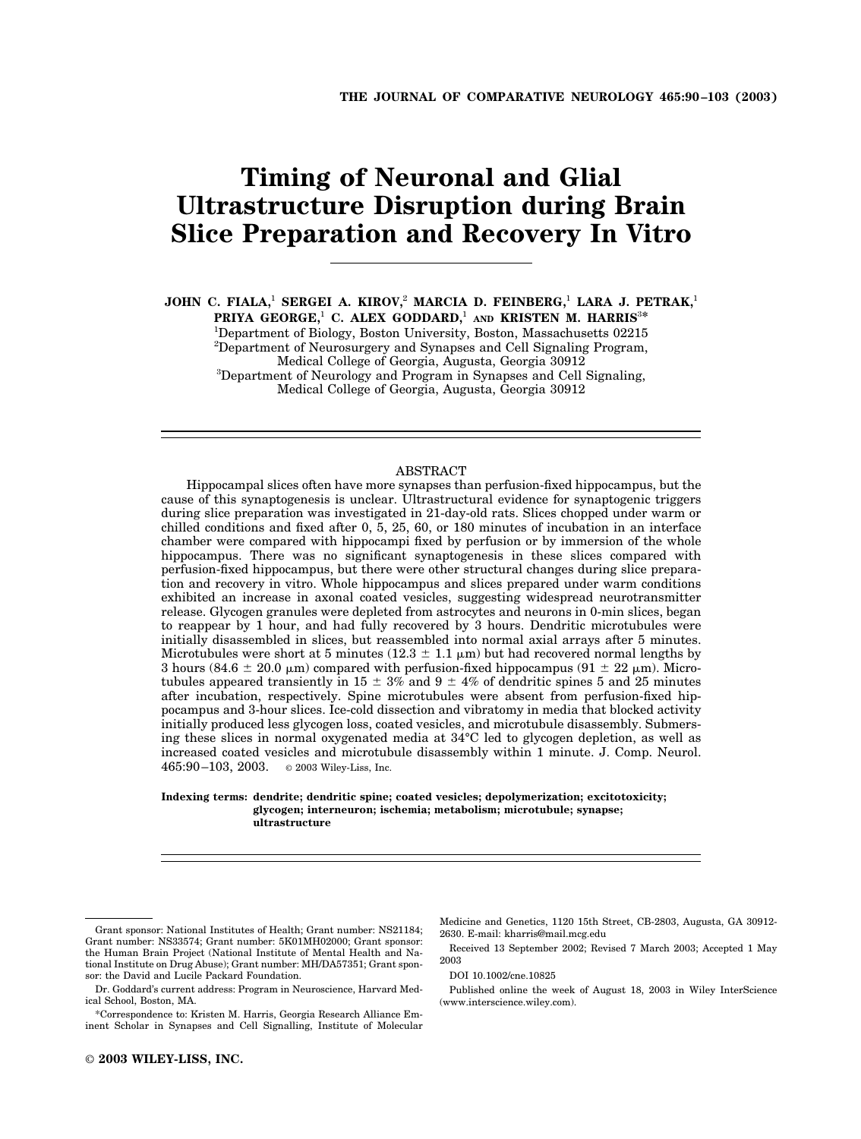# **Timing of Neuronal and Glial Ultrastructure Disruption during Brain Slice Preparation and Recovery In Vitro**

**JOHN C. FIALA,**<sup>1</sup> **SERGEI A. KIROV,**<sup>2</sup> **MARCIA D. FEINBERG,**<sup>1</sup> **LARA J. PETRAK,**<sup>1</sup> **PRIYA GEORGE,**<sup>1</sup> **C. ALEX GODDARD,**<sup>1</sup> **AND KRISTEN M. HARRIS**<sup>3</sup>**\***

<sup>1</sup>Department of Biology, Boston University, Boston, Massachusetts 02215 <sup>2</sup>Department of Neurosurgery and Synapses and Cell Signaling Program, Medical College of Georgia, Augusta, Georgia 30912 <sup>3</sup> Department of Neurology and Program in Synapses and Cell Signaling, Medical College of Georgia, Augusta, Georgia 30912

## ABSTRACT

Hippocampal slices often have more synapses than perfusion-fixed hippocampus, but the cause of this synaptogenesis is unclear. Ultrastructural evidence for synaptogenic triggers during slice preparation was investigated in 21-day-old rats. Slices chopped under warm or chilled conditions and fixed after 0, 5, 25, 60, or 180 minutes of incubation in an interface chamber were compared with hippocampi fixed by perfusion or by immersion of the whole hippocampus. There was no significant synaptogenesis in these slices compared with perfusion-fixed hippocampus, but there were other structural changes during slice preparation and recovery in vitro. Whole hippocampus and slices prepared under warm conditions exhibited an increase in axonal coated vesicles, suggesting widespread neurotransmitter release. Glycogen granules were depleted from astrocytes and neurons in 0-min slices, began to reappear by 1 hour, and had fully recovered by 3 hours. Dendritic microtubules were initially disassembled in slices, but reassembled into normal axial arrays after 5 minutes. Microtubules were short at 5 minutes (12.3  $\pm$  1.1  $\mu$ m) but had recovered normal lengths by 3 hours (84.6  $\pm$  20.0  $\mu$ m) compared with perfusion-fixed hippocampus (91  $\pm$  22  $\mu$ m). Microtubules appeared transiently in 15  $\pm$  3% and 9  $\pm$  4% of dendritic spines 5 and 25 minutes after incubation, respectively. Spine microtubules were absent from perfusion-fixed hippocampus and 3-hour slices. Ice-cold dissection and vibratomy in media that blocked activity initially produced less glycogen loss, coated vesicles, and microtubule disassembly. Submersing these slices in normal oxygenated media at 34°C led to glycogen depletion, as well as increased coated vesicles and microtubule disassembly within 1 minute. J. Comp. Neurol. 465:90–103, 2003. © 2003 Wiley-Liss, Inc.

#### **Indexing terms: dendrite; dendritic spine; coated vesicles; depolymerization; excitotoxicity; glycogen; interneuron; ischemia; metabolism; microtubule; synapse; ultrastructure**

Received 13 September 2002; Revised 7 March 2003; Accepted 1 May 2003

DOI 10.1002/cne.10825

Published online the week of August 18, 2003 in Wiley InterScience (www.interscience.wiley.com).

Grant sponsor: National Institutes of Health; Grant number: NS21184; Grant number: NS33574; Grant number: 5K01MH02000; Grant sponsor: the Human Brain Project (National Institute of Mental Health and National Institute on Drug Abuse); Grant number: MH/DA57351; Grant sponsor: the David and Lucile Packard Foundation.

Dr. Goddard's current address: Program in Neuroscience, Harvard Medical School, Boston, MA.

<sup>\*</sup>Correspondence to: Kristen M. Harris, Georgia Research Alliance Eminent Scholar in Synapses and Cell Signalling, Institute of Molecular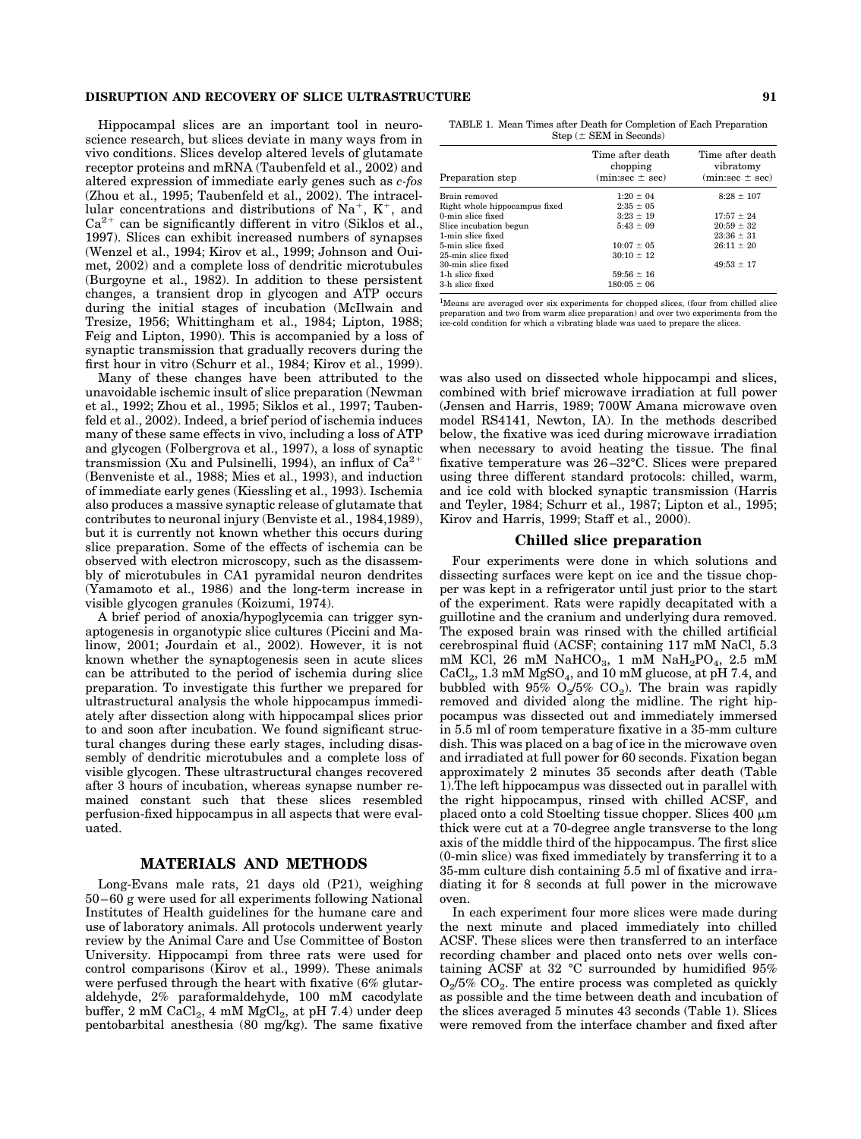#### **DISRUPTION AND RECOVERY OF SLICE ULTRASTRUCTURE 91**

Hippocampal slices are an important tool in neuroscience research, but slices deviate in many ways from in vivo conditions. Slices develop altered levels of glutamate receptor proteins and mRNA (Taubenfeld et al., 2002) and altered expression of immediate early genes such as *c-fos* (Zhou et al., 1995; Taubenfeld et al., 2002). The intracellular concentrations and distributions of  $Na^+$ ,  $K^+$ , and  $Ca^{2+}$  can be significantly different in vitro (Siklos et al., 1997). Slices can exhibit increased numbers of synapses (Wenzel et al., 1994; Kirov et al., 1999; Johnson and Ouimet, 2002) and a complete loss of dendritic microtubules (Burgoyne et al., 1982). In addition to these persistent changes, a transient drop in glycogen and ATP occurs during the initial stages of incubation (McIlwain and Tresize, 1956; Whittingham et al., 1984; Lipton, 1988; Feig and Lipton, 1990). This is accompanied by a loss of synaptic transmission that gradually recovers during the first hour in vitro (Schurr et al., 1984; Kirov et al., 1999).

Many of these changes have been attributed to the unavoidable ischemic insult of slice preparation (Newman et al., 1992; Zhou et al., 1995; Siklos et al., 1997; Taubenfeld et al., 2002). Indeed, a brief period of ischemia induces many of these same effects in vivo, including a loss of ATP and glycogen (Folbergrova et al., 1997), a loss of synaptic transmission (Xu and Pulsinelli, 1994), an influx of  $Ca^{2+}$ (Benveniste et al., 1988; Mies et al., 1993), and induction of immediate early genes (Kiessling et al., 1993). Ischemia also produces a massive synaptic release of glutamate that contributes to neuronal injury (Benviste et al., 1984,1989), but it is currently not known whether this occurs during slice preparation. Some of the effects of ischemia can be observed with electron microscopy, such as the disassembly of microtubules in CA1 pyramidal neuron dendrites (Yamamoto et al., 1986) and the long-term increase in visible glycogen granules (Koizumi, 1974).

A brief period of anoxia/hypoglycemia can trigger synaptogenesis in organotypic slice cultures (Piccini and Malinow, 2001; Jourdain et al., 2002). However, it is not known whether the synaptogenesis seen in acute slices can be attributed to the period of ischemia during slice preparation. To investigate this further we prepared for ultrastructural analysis the whole hippocampus immediately after dissection along with hippocampal slices prior to and soon after incubation. We found significant structural changes during these early stages, including disassembly of dendritic microtubules and a complete loss of visible glycogen. These ultrastructural changes recovered after 3 hours of incubation, whereas synapse number remained constant such that these slices resembled perfusion-fixed hippocampus in all aspects that were evaluated.

## **MATERIALS AND METHODS**

Long-Evans male rats, 21 days old (P21), weighing 50–60 g were used for all experiments following National Institutes of Health guidelines for the humane care and use of laboratory animals. All protocols underwent yearly review by the Animal Care and Use Committee of Boston University. Hippocampi from three rats were used for control comparisons (Kirov et al., 1999). These animals were perfused through the heart with fixative (6% glutaraldehyde, 2% paraformaldehyde, 100 mM cacodylate buffer,  $2 \text{ mM } \text{CaCl}_2$ ,  $4 \text{ mM } \text{MgCl}_2$ , at pH 7.4) under deep pentobarbital anesthesia (80 mg/kg). The same fixative

TABLE 1. Mean Times after Death for Completion of Each Preparation  $Step (± SEM in Seconds)$ 

| Preparation step              | Time after death<br>chopping<br>$(min:sec \pm sec)$ | Time after death<br>vibratomy<br>$(min:sec \pm sec)$ |
|-------------------------------|-----------------------------------------------------|------------------------------------------------------|
| Brain removed                 | $1:20 \pm 04$                                       | $8:28 \pm 107$                                       |
| Right whole hippocampus fixed | $2:35 \pm 0.5$                                      |                                                      |
| 0-min slice fixed             | $3:23 \pm 19$                                       | $17:57 \pm 24$                                       |
| Slice incubation begun        | $5:43 \pm 09$                                       | $20:59 \pm 32$                                       |
| 1-min slice fixed             |                                                     | $23:36 \pm 31$                                       |
| 5-min slice fixed             | $10:07 \pm 05$                                      | $26:11 \pm 20$                                       |
| 25-min slice fixed            | $30:10 \pm 12$                                      |                                                      |
| 30-min slice fixed            |                                                     | $49:53 \pm 17$                                       |
| 1-h slice fixed               | $59:56 \pm 16$                                      |                                                      |
| 3-h slice fixed               | $180:05 \pm 06$                                     |                                                      |

<sup>1</sup>Means are averaged over six experiments for chopped slices, (four from chilled slice preparation and two from warm slice preparation) and over two experiments from the ice-cold condition for which a vibrating blade was used to prepare the slices.

was also used on dissected whole hippocampi and slices, combined with brief microwave irradiation at full power (Jensen and Harris, 1989; 700W Amana microwave oven model RS4141, Newton, IA). In the methods described below, the fixative was iced during microwave irradiation when necessary to avoid heating the tissue. The final fixative temperature was 26–32°C. Slices were prepared using three different standard protocols: chilled, warm, and ice cold with blocked synaptic transmission (Harris and Teyler, 1984; Schurr et al., 1987; Lipton et al., 1995; Kirov and Harris, 1999; Staff et al., 2000).

## **Chilled slice preparation**

Four experiments were done in which solutions and dissecting surfaces were kept on ice and the tissue chopper was kept in a refrigerator until just prior to the start of the experiment. Rats were rapidly decapitated with a guillotine and the cranium and underlying dura removed. The exposed brain was rinsed with the chilled artificial cerebrospinal fluid (ACSF; containing 117 mM NaCl, 5.3 mM KCl, 26 mM NaHCO<sub>3</sub>, 1 mM NaH<sub>2</sub>PO<sub>4</sub>, 2.5 mM  $CaCl<sub>2</sub>$ , 1.3 mM MgSO<sub>4</sub>, and 10 mM glucose, at pH 7.4, and bubbled with 95%  $O_2/5\%$   $CO_2$ ). The brain was rapidly removed and divided along the midline. The right hippocampus was dissected out and immediately immersed in 5.5 ml of room temperature fixative in a 35-mm culture dish. This was placed on a bag of ice in the microwave oven and irradiated at full power for 60 seconds. Fixation began approximately 2 minutes 35 seconds after death (Table 1).The left hippocampus was dissected out in parallel with the right hippocampus, rinsed with chilled ACSF, and placed onto a cold Stoelting tissue chopper. Slices 400  $\mu$ m thick were cut at a 70-degree angle transverse to the long axis of the middle third of the hippocampus. The first slice (0-min slice) was fixed immediately by transferring it to a 35-mm culture dish containing 5.5 ml of fixative and irradiating it for 8 seconds at full power in the microwave oven.

In each experiment four more slices were made during the next minute and placed immediately into chilled ACSF. These slices were then transferred to an interface recording chamber and placed onto nets over wells containing ACSF at 32 °C surrounded by humidified 95%  $O_2/5\%$   $CO_2$ . The entire process was completed as quickly as possible and the time between death and incubation of the slices averaged 5 minutes 43 seconds (Table 1). Slices were removed from the interface chamber and fixed after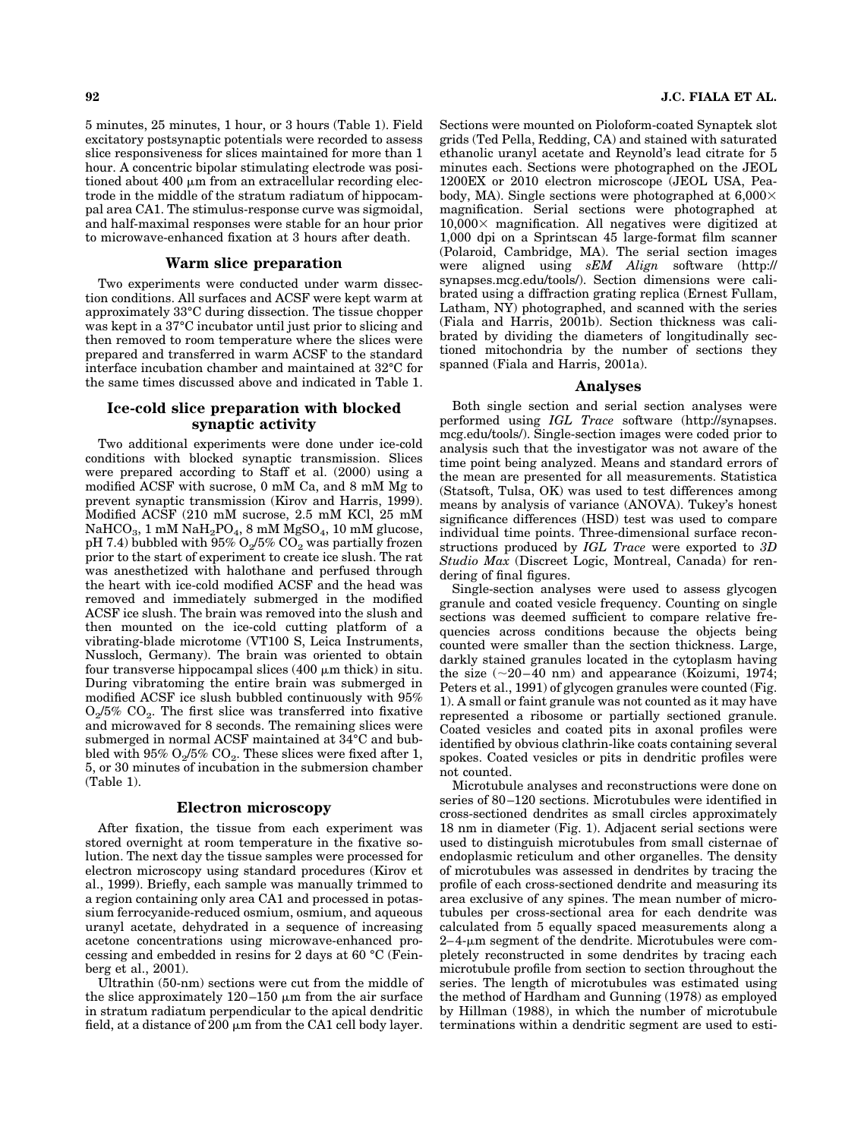5 minutes, 25 minutes, 1 hour, or 3 hours (Table 1). Field excitatory postsynaptic potentials were recorded to assess slice responsiveness for slices maintained for more than 1 hour. A concentric bipolar stimulating electrode was positioned about 400  $\mu$ m from an extracellular recording electrode in the middle of the stratum radiatum of hippocampal area CA1. The stimulus-response curve was sigmoidal, and half-maximal responses were stable for an hour prior to microwave-enhanced fixation at 3 hours after death.

#### **Warm slice preparation**

Two experiments were conducted under warm dissection conditions. All surfaces and ACSF were kept warm at approximately 33°C during dissection. The tissue chopper was kept in a 37°C incubator until just prior to slicing and then removed to room temperature where the slices were prepared and transferred in warm ACSF to the standard interface incubation chamber and maintained at 32°C for the same times discussed above and indicated in Table 1.

# **Ice-cold slice preparation with blocked synaptic activity**

Two additional experiments were done under ice-cold conditions with blocked synaptic transmission. Slices were prepared according to Staff et al. (2000) using a modified ACSF with sucrose, 0 mM Ca, and 8 mM Mg to prevent synaptic transmission (Kirov and Harris, 1999). Modified ACSF (210 mM sucrose, 2.5 mM KCl, 25 mM NaHCO<sub>3</sub>, 1 mM NaH<sub>2</sub>PO<sub>4</sub>, 8 mM MgSO<sub>4</sub>, 10 mM glucose, pH 7.4) bubbled with  $95\%$  O<sub>2</sub>/5% CO<sub>2</sub> was partially frozen prior to the start of experiment to create ice slush. The rat was anesthetized with halothane and perfused through the heart with ice-cold modified ACSF and the head was removed and immediately submerged in the modified ACSF ice slush. The brain was removed into the slush and then mounted on the ice-cold cutting platform of a vibrating-blade microtome (VT100 S, Leica Instruments, Nussloch, Germany). The brain was oriented to obtain four transverse hippocampal slices  $(400 \mu m)$  thick) in situ. During vibratoming the entire brain was submerged in modified ACSF ice slush bubbled continuously with 95%  $O_2/5\%$   $CO_2$ . The first slice was transferred into fixative and microwaved for 8 seconds. The remaining slices were submerged in normal ACSF maintained at 34°C and bubbled with 95%  $O_2/5\%$  CO<sub>2</sub>. These slices were fixed after 1, 5, or 30 minutes of incubation in the submersion chamber (Table 1).

## **Electron microscopy**

After fixation, the tissue from each experiment was stored overnight at room temperature in the fixative solution. The next day the tissue samples were processed for electron microscopy using standard procedures (Kirov et al., 1999). Briefly, each sample was manually trimmed to a region containing only area CA1 and processed in potassium ferrocyanide-reduced osmium, osmium, and aqueous uranyl acetate, dehydrated in a sequence of increasing acetone concentrations using microwave-enhanced processing and embedded in resins for 2 days at 60 °C (Feinberg et al., 2001).

Ultrathin (50-nm) sections were cut from the middle of the slice approximately  $120-150 \mu m$  from the air surface in stratum radiatum perpendicular to the apical dendritic field, at a distance of 200  $\upmu$ m from the CA1 cell body layer.

Sections were mounted on Pioloform-coated Synaptek slot grids (Ted Pella, Redding, CA) and stained with saturated ethanolic uranyl acetate and Reynold's lead citrate for 5 minutes each. Sections were photographed on the JEOL 1200EX or 2010 electron microscope (JEOL USA, Peabody, MA). Single sections were photographed at  $6,000\times$ magnification. Serial sections were photographed at  $10,000 \times$  magnification. All negatives were digitized at 1,000 dpi on a Sprintscan 45 large-format film scanner (Polaroid, Cambridge, MA). The serial section images were aligned using *sEM Align* software (http:// synapses.mcg.edu/tools/). Section dimensions were calibrated using a diffraction grating replica (Ernest Fullam, Latham, NY) photographed, and scanned with the series (Fiala and Harris, 2001b). Section thickness was calibrated by dividing the diameters of longitudinally sectioned mitochondria by the number of sections they spanned (Fiala and Harris, 2001a).

#### **Analyses**

Both single section and serial section analyses were performed using *IGL Trace* software (http://synapses. mcg.edu/tools/). Single-section images were coded prior to analysis such that the investigator was not aware of the time point being analyzed. Means and standard errors of the mean are presented for all measurements. Statistica (Statsoft, Tulsa, OK) was used to test differences among means by analysis of variance (ANOVA). Tukey's honest significance differences (HSD) test was used to compare individual time points. Three-dimensional surface reconstructions produced by *IGL Trace* were exported to *3D Studio Max* (Discreet Logic, Montreal, Canada) for rendering of final figures.

Single-section analyses were used to assess glycogen granule and coated vesicle frequency. Counting on single sections was deemed sufficient to compare relative frequencies across conditions because the objects being counted were smaller than the section thickness. Large, darkly stained granules located in the cytoplasm having the size  $(\sim 20-40 \text{ nm})$  and appearance (Koizumi, 1974; Peters et al., 1991) of glycogen granules were counted (Fig. 1). A small or faint granule was not counted as it may have represented a ribosome or partially sectioned granule. Coated vesicles and coated pits in axonal profiles were identified by obvious clathrin-like coats containing several spokes. Coated vesicles or pits in dendritic profiles were not counted.

Microtubule analyses and reconstructions were done on series of 80–120 sections. Microtubules were identified in cross-sectioned dendrites as small circles approximately 18 nm in diameter (Fig. 1). Adjacent serial sections were used to distinguish microtubules from small cisternae of endoplasmic reticulum and other organelles. The density of microtubules was assessed in dendrites by tracing the profile of each cross-sectioned dendrite and measuring its area exclusive of any spines. The mean number of microtubules per cross-sectional area for each dendrite was calculated from 5 equally spaced measurements along a  $2-4$ - $\upmu$ m segment of the dendrite. Microtubules were completely reconstructed in some dendrites by tracing each microtubule profile from section to section throughout the series. The length of microtubules was estimated using the method of Hardham and Gunning (1978) as employed by Hillman (1988), in which the number of microtubule terminations within a dendritic segment are used to esti-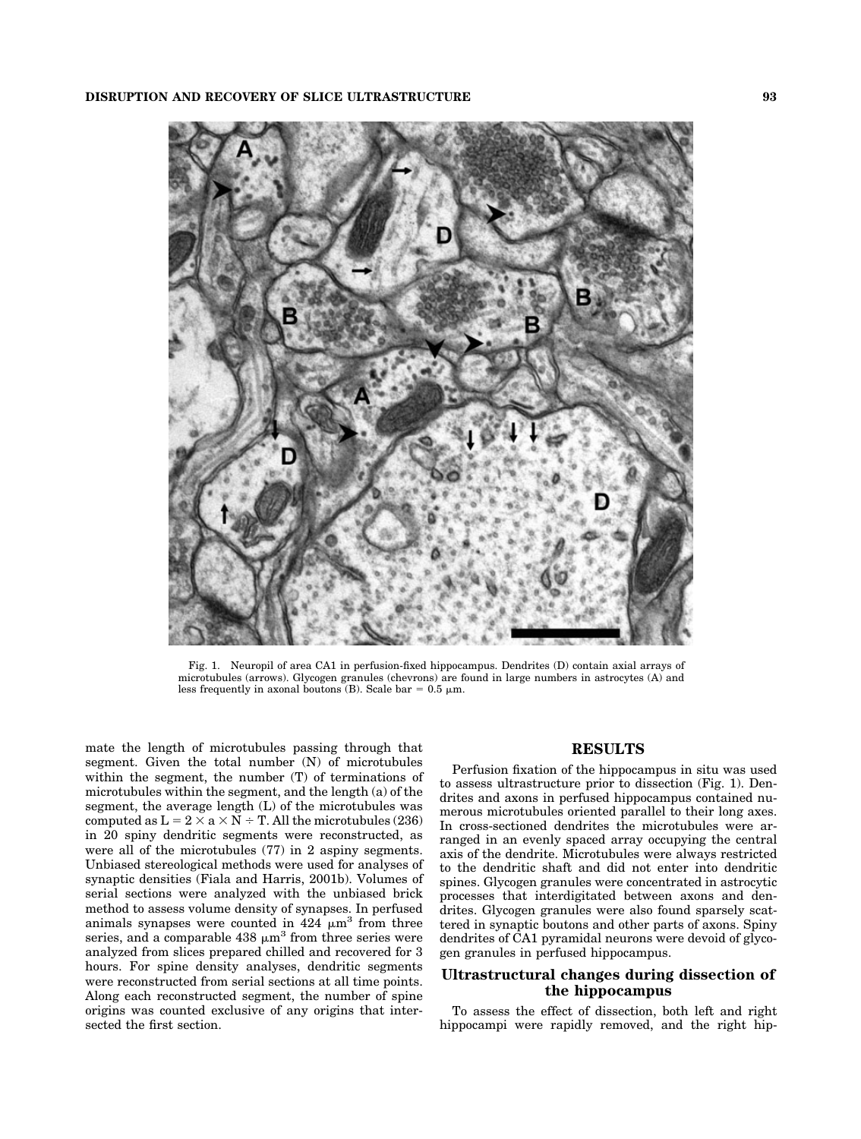

Fig. 1. Neuropil of area CA1 in perfusion-fixed hippocampus. Dendrites (D) contain axial arrays of microtubules (arrows). Glycogen granules (chevrons) are found in large numbers in astrocytes (A) and less frequently in axonal boutons (B). Scale bar =  $0.5 \mu m$ .

mate the length of microtubules passing through that segment. Given the total number (N) of microtubules within the segment, the number (T) of terminations of microtubules within the segment, and the length (a) of the segment, the average length (L) of the microtubules was computed as  $L = 2 \times a \times N \div T$ . All the microtubules (236) in 20 spiny dendritic segments were reconstructed, as were all of the microtubules (77) in 2 aspiny segments. Unbiased stereological methods were used for analyses of synaptic densities (Fiala and Harris, 2001b). Volumes of serial sections were analyzed with the unbiased brick method to assess volume density of synapses. In perfused animals synapses were counted in  $424 \mu m^3$  from three series, and a comparable  $438 \mu m^3$  from three series were analyzed from slices prepared chilled and recovered for 3 hours. For spine density analyses, dendritic segments were reconstructed from serial sections at all time points. Along each reconstructed segment, the number of spine origins was counted exclusive of any origins that intersected the first section.

## **RESULTS**

Perfusion fixation of the hippocampus in situ was used to assess ultrastructure prior to dissection (Fig. 1). Dendrites and axons in perfused hippocampus contained numerous microtubules oriented parallel to their long axes. In cross-sectioned dendrites the microtubules were arranged in an evenly spaced array occupying the central axis of the dendrite. Microtubules were always restricted to the dendritic shaft and did not enter into dendritic spines. Glycogen granules were concentrated in astrocytic processes that interdigitated between axons and dendrites. Glycogen granules were also found sparsely scattered in synaptic boutons and other parts of axons. Spiny dendrites of CA1 pyramidal neurons were devoid of glycogen granules in perfused hippocampus.

# **Ultrastructural changes during dissection of the hippocampus**

To assess the effect of dissection, both left and right hippocampi were rapidly removed, and the right hip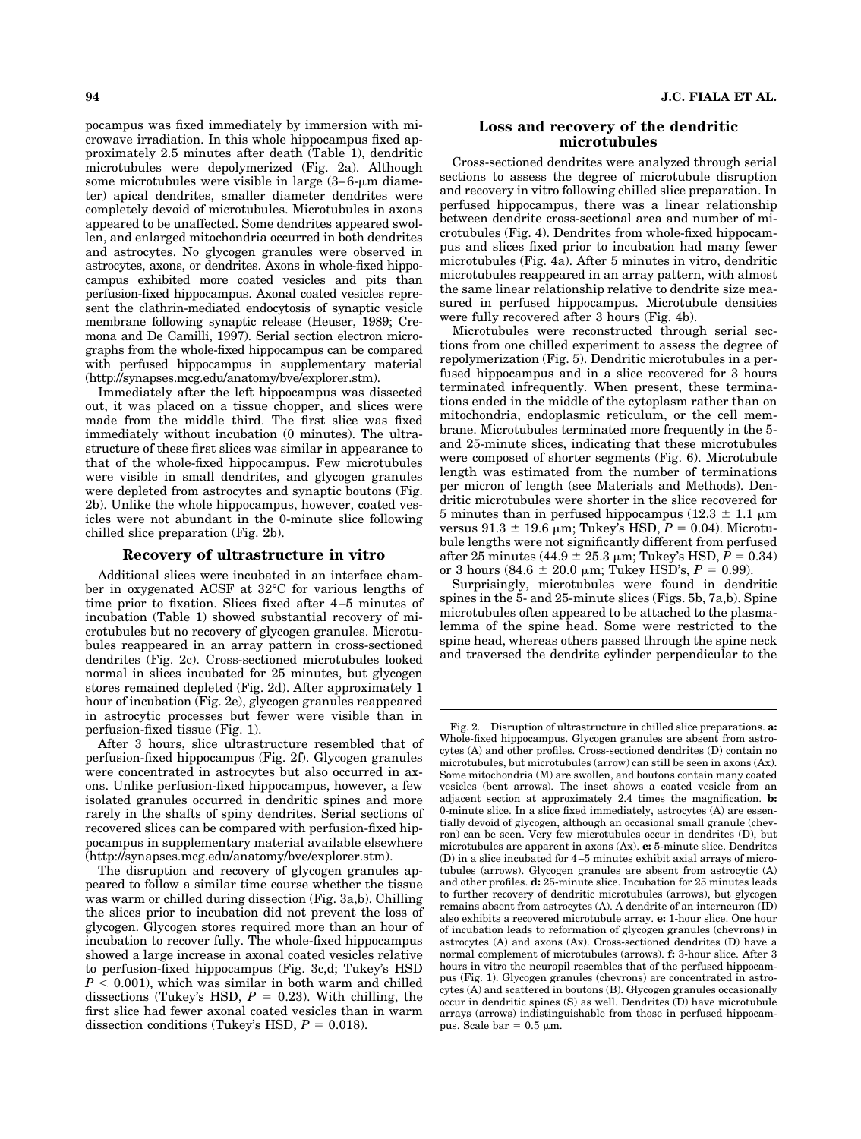pocampus was fixed immediately by immersion with microwave irradiation. In this whole hippocampus fixed approximately 2.5 minutes after death (Table 1), dendritic microtubules were depolymerized (Fig. 2a). Although some microtubules were visible in large  $(3-6-\mu m)$  diameter) apical dendrites, smaller diameter dendrites were completely devoid of microtubules. Microtubules in axons appeared to be unaffected. Some dendrites appeared swollen, and enlarged mitochondria occurred in both dendrites and astrocytes. No glycogen granules were observed in astrocytes, axons, or dendrites. Axons in whole-fixed hippocampus exhibited more coated vesicles and pits than perfusion-fixed hippocampus. Axonal coated vesicles represent the clathrin-mediated endocytosis of synaptic vesicle membrane following synaptic release (Heuser, 1989; Cremona and De Camilli, 1997). Serial section electron micrographs from the whole-fixed hippocampus can be compared with perfused hippocampus in supplementary material (http://synapses.mcg.edu/anatomy/bve/explorer.stm).

Immediately after the left hippocampus was dissected out, it was placed on a tissue chopper, and slices were made from the middle third. The first slice was fixed immediately without incubation (0 minutes). The ultrastructure of these first slices was similar in appearance to that of the whole-fixed hippocampus. Few microtubules were visible in small dendrites, and glycogen granules were depleted from astrocytes and synaptic boutons (Fig. 2b). Unlike the whole hippocampus, however, coated vesicles were not abundant in the 0-minute slice following chilled slice preparation (Fig. 2b).

## **Recovery of ultrastructure in vitro**

Additional slices were incubated in an interface chamber in oxygenated ACSF at 32°C for various lengths of time prior to fixation. Slices fixed after 4–5 minutes of incubation (Table 1) showed substantial recovery of microtubules but no recovery of glycogen granules. Microtubules reappeared in an array pattern in cross-sectioned dendrites (Fig. 2c). Cross-sectioned microtubules looked normal in slices incubated for 25 minutes, but glycogen stores remained depleted (Fig. 2d). After approximately 1 hour of incubation (Fig. 2e), glycogen granules reappeared in astrocytic processes but fewer were visible than in perfusion-fixed tissue (Fig. 1).

After 3 hours, slice ultrastructure resembled that of perfusion-fixed hippocampus (Fig. 2f). Glycogen granules were concentrated in astrocytes but also occurred in axons. Unlike perfusion-fixed hippocampus, however, a few isolated granules occurred in dendritic spines and more rarely in the shafts of spiny dendrites. Serial sections of recovered slices can be compared with perfusion-fixed hippocampus in supplementary material available elsewhere (http://synapses.mcg.edu/anatomy/bve/explorer.stm).

The disruption and recovery of glycogen granules appeared to follow a similar time course whether the tissue was warm or chilled during dissection (Fig. 3a,b). Chilling the slices prior to incubation did not prevent the loss of glycogen. Glycogen stores required more than an hour of incubation to recover fully. The whole-fixed hippocampus showed a large increase in axonal coated vesicles relative to perfusion-fixed hippocampus (Fig. 3c,d; Tukey's HSD  $P < 0.001$ , which was similar in both warm and chilled dissections (Tukey's HSD,  $P = 0.23$ ). With chilling, the first slice had fewer axonal coated vesicles than in warm dissection conditions (Tukey's HSD,  $P = 0.018$ ).

## **94 J.C. FIALA ET AL.**

## **Loss and recovery of the dendritic microtubules**

Cross-sectioned dendrites were analyzed through serial sections to assess the degree of microtubule disruption and recovery in vitro following chilled slice preparation. In perfused hippocampus, there was a linear relationship between dendrite cross-sectional area and number of microtubules (Fig. 4). Dendrites from whole-fixed hippocampus and slices fixed prior to incubation had many fewer microtubules (Fig. 4a). After 5 minutes in vitro, dendritic microtubules reappeared in an array pattern, with almost the same linear relationship relative to dendrite size measured in perfused hippocampus. Microtubule densities were fully recovered after 3 hours (Fig. 4b).

Microtubules were reconstructed through serial sections from one chilled experiment to assess the degree of repolymerization (Fig. 5). Dendritic microtubules in a perfused hippocampus and in a slice recovered for 3 hours terminated infrequently. When present, these terminations ended in the middle of the cytoplasm rather than on mitochondria, endoplasmic reticulum, or the cell membrane. Microtubules terminated more frequently in the 5 and 25-minute slices, indicating that these microtubules were composed of shorter segments (Fig. 6). Microtubule length was estimated from the number of terminations per micron of length (see Materials and Methods). Dendritic microtubules were shorter in the slice recovered for 5 minutes than in perfused hippocampus ( $12.3 \pm 1.1 \mu m$ versus  $91.3 \pm 19.6$   $\mu$ m; Tukey's HSD,  $P = 0.04$ ). Microtubule lengths were not significantly different from perfused after 25 minutes  $(44.9 \pm 25.3 \,\mu m)$ ; Tukey's HSD,  $P = 0.34$ ) or 3 hours  $(84.6 \pm 20.0 \mu m;$  Tukey HSD's,  $P = 0.99$ ).

Surprisingly, microtubules were found in dendritic spines in the 5- and 25-minute slices (Figs. 5b, 7a,b). Spine microtubules often appeared to be attached to the plasmalemma of the spine head. Some were restricted to the spine head, whereas others passed through the spine neck and traversed the dendrite cylinder perpendicular to the

Fig. 2. Disruption of ultrastructure in chilled slice preparations. **a:** Whole-fixed hippocampus. Glycogen granules are absent from astrocytes (A) and other profiles. Cross-sectioned dendrites (D) contain no microtubules, but microtubules (arrow) can still be seen in axons (Ax). Some mitochondria (M) are swollen, and boutons contain many coated vesicles (bent arrows). The inset shows a coated vesicle from an adjacent section at approximately 2.4 times the magnification. **b:** 0-minute slice. In a slice fixed immediately, astrocytes (A) are essentially devoid of glycogen, although an occasional small granule (chevron) can be seen. Very few microtubules occur in dendrites (D), but microtubules are apparent in axons (Ax). **c:** 5-minute slice. Dendrites (D) in a slice incubated for 4–5 minutes exhibit axial arrays of microtubules (arrows). Glycogen granules are absent from astrocytic (A) and other profiles. **d:** 25-minute slice. Incubation for 25 minutes leads to further recovery of dendritic microtubules (arrows), but glycogen remains absent from astrocytes (A). A dendrite of an interneuron (ID) also exhibits a recovered microtubule array. **e:** 1-hour slice. One hour of incubation leads to reformation of glycogen granules (chevrons) in astrocytes (A) and axons (Ax). Cross-sectioned dendrites (D) have a normal complement of microtubules (arrows). **f:** 3-hour slice. After 3 hours in vitro the neuropil resembles that of the perfused hippocampus (Fig. 1). Glycogen granules (chevrons) are concentrated in astrocytes (A) and scattered in boutons (B). Glycogen granules occasionally occur in dendritic spines (S) as well. Dendrites (D) have microtubule arrays (arrows) indistinguishable from those in perfused hippocampus. Scale bar =  $0.5 \mu m$ .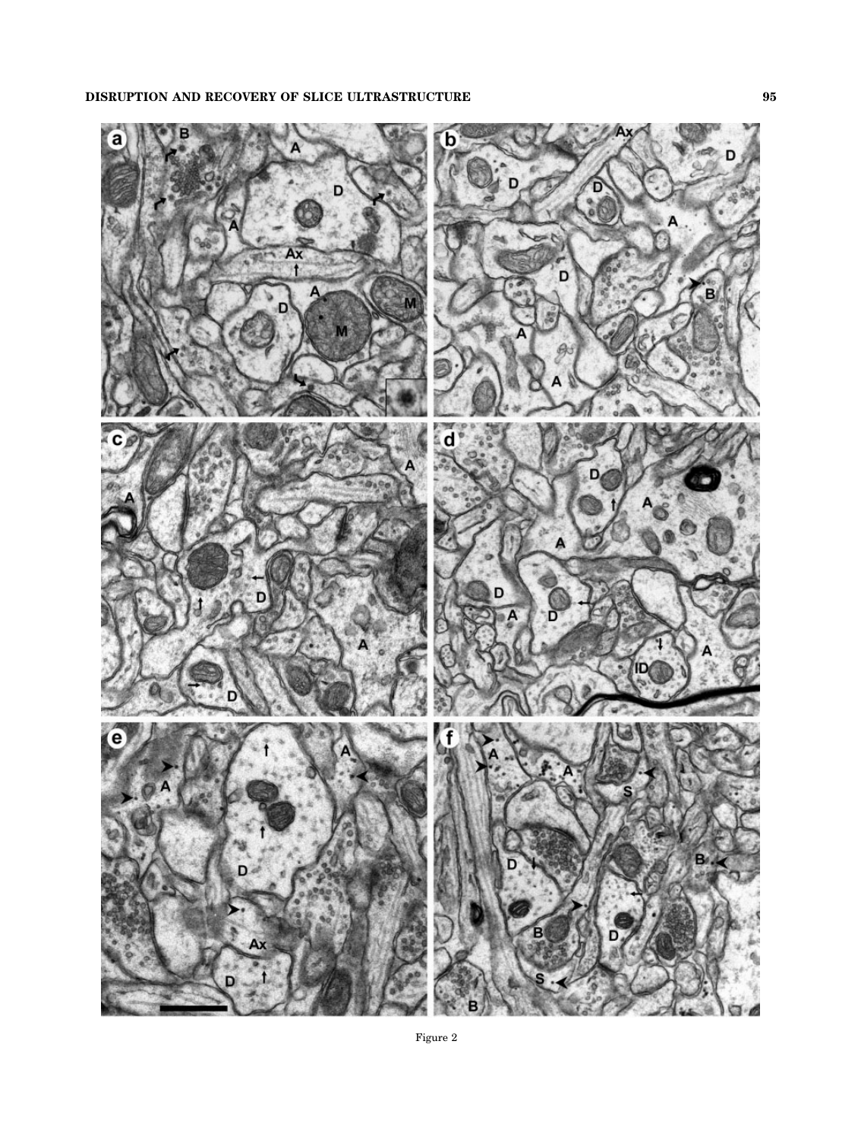

Figure 2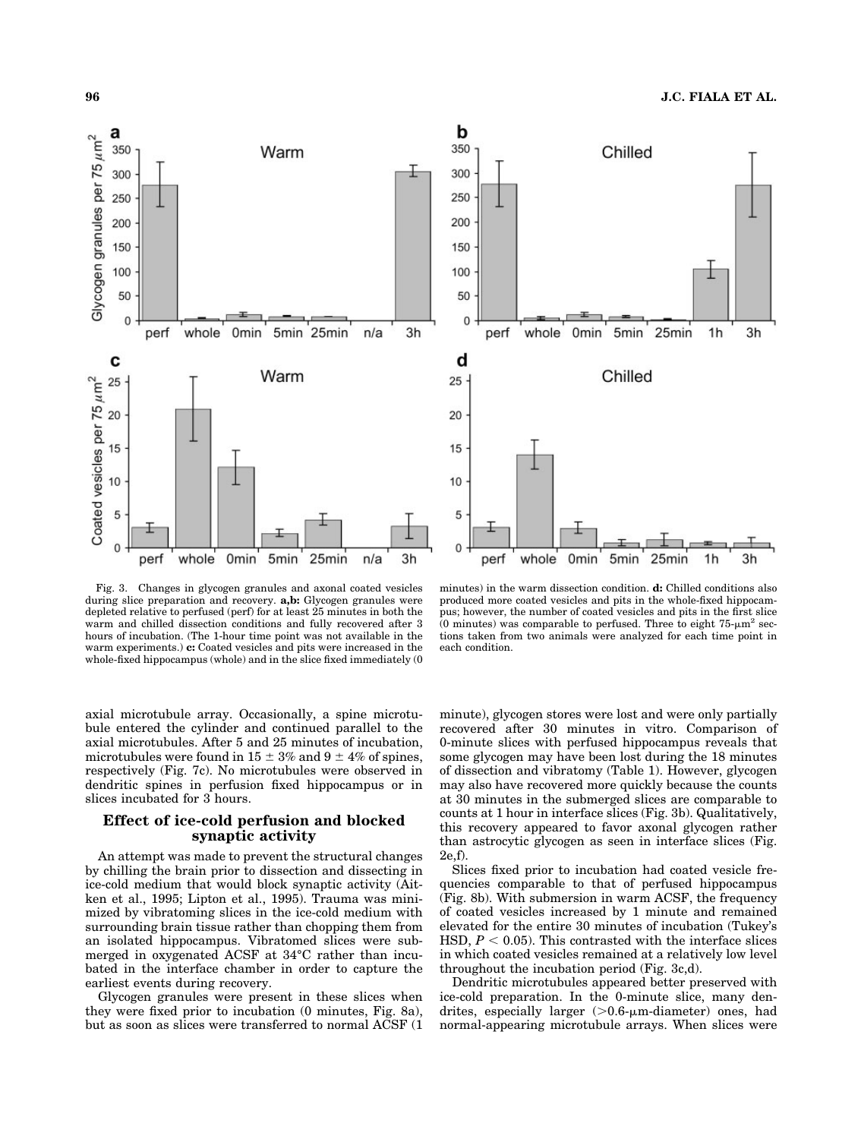



Fig. 3. Changes in glycogen granules and axonal coated vesicles during slice preparation and recovery. **a,b:** Glycogen granules were depleted relative to perfused (perf) for at least 25 minutes in both the warm and chilled dissection conditions and fully recovered after 3 hours of incubation. (The 1-hour time point was not available in the warm experiments.) **c:** Coated vesicles and pits were increased in the whole-fixed hippocampus (whole) and in the slice fixed immediately (0

axial microtubule array. Occasionally, a spine microtubule entered the cylinder and continued parallel to the axial microtubules. After 5 and 25 minutes of incubation, microtubules were found in 15  $\pm$  3% and 9  $\pm$  4% of spines, respectively (Fig. 7c). No microtubules were observed in dendritic spines in perfusion fixed hippocampus or in slices incubated for 3 hours.

## **Effect of ice-cold perfusion and blocked synaptic activity**

An attempt was made to prevent the structural changes by chilling the brain prior to dissection and dissecting in ice-cold medium that would block synaptic activity (Aitken et al., 1995; Lipton et al., 1995). Trauma was minimized by vibratoming slices in the ice-cold medium with surrounding brain tissue rather than chopping them from an isolated hippocampus. Vibratomed slices were submerged in oxygenated ACSF at 34°C rather than incubated in the interface chamber in order to capture the earliest events during recovery.

Glycogen granules were present in these slices when they were fixed prior to incubation (0 minutes, Fig. 8a), but as soon as slices were transferred to normal ACSF (1

minutes) in the warm dissection condition. **d:** Chilled conditions also produced more coated vesicles and pits in the whole-fixed hippocampus; however, the number of coated vesicles and pits in the first slice (0 minutes) was comparable to perfused. Three to eight  $75-\mu m^2$  sections taken from two animals were analyzed for each time point in each condition.

minute), glycogen stores were lost and were only partially recovered after 30 minutes in vitro. Comparison of 0-minute slices with perfused hippocampus reveals that some glycogen may have been lost during the 18 minutes of dissection and vibratomy (Table 1). However, glycogen may also have recovered more quickly because the counts at 30 minutes in the submerged slices are comparable to counts at 1 hour in interface slices (Fig. 3b). Qualitatively, this recovery appeared to favor axonal glycogen rather than astrocytic glycogen as seen in interface slices (Fig. 2e,f).

Slices fixed prior to incubation had coated vesicle frequencies comparable to that of perfused hippocampus (Fig. 8b). With submersion in warm ACSF, the frequency of coated vesicles increased by 1 minute and remained elevated for the entire 30 minutes of incubation (Tukey's HSD,  $P < 0.05$ ). This contrasted with the interface slices in which coated vesicles remained at a relatively low level throughout the incubation period (Fig. 3c,d).

Dendritic microtubules appeared better preserved with ice-cold preparation. In the 0-minute slice, many dendrites, especially larger (>0.6-µm-diameter) ones, had normal-appearing microtubule arrays. When slices were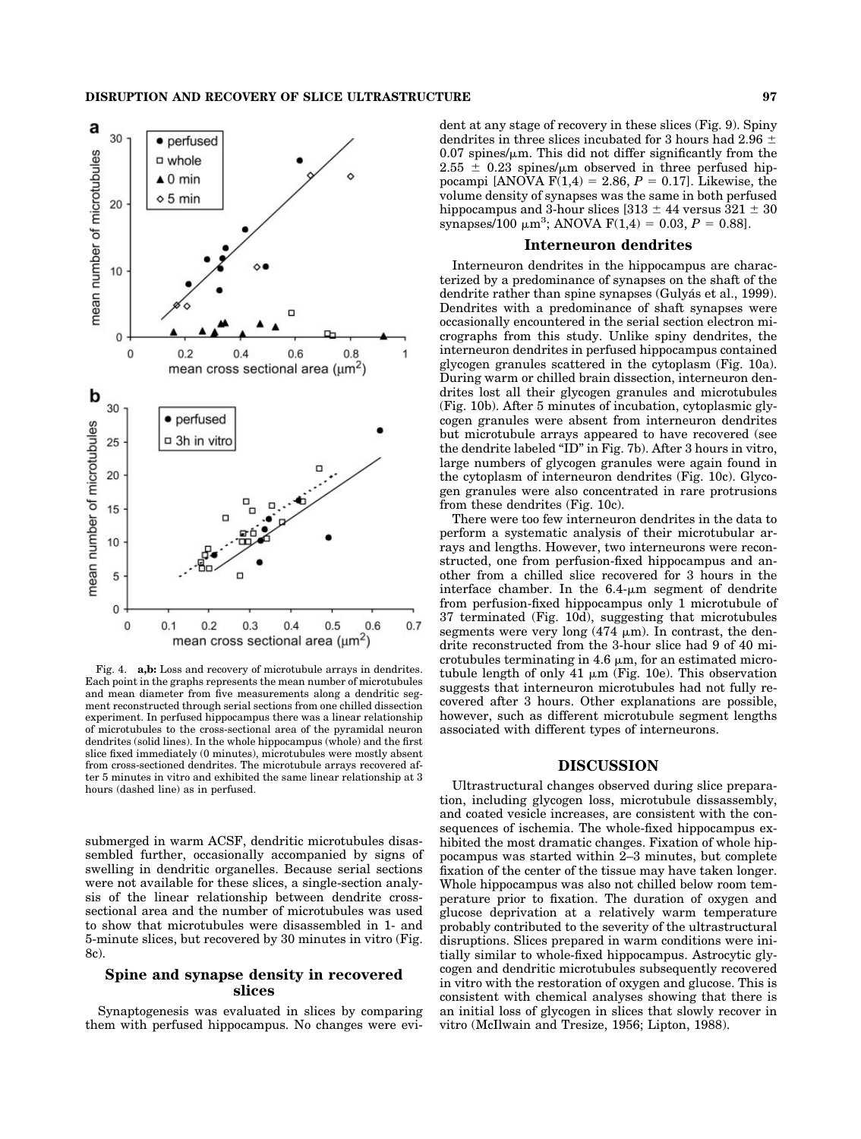

Fig. 4. **a,b:** Loss and recovery of microtubule arrays in dendrites. Each point in the graphs represents the mean number of microtubules and mean diameter from five measurements along a dendritic segment reconstructed through serial sections from one chilled dissection experiment. In perfused hippocampus there was a linear relationship of microtubules to the cross-sectional area of the pyramidal neuron dendrites (solid lines). In the whole hippocampus (whole) and the first slice fixed immediately (0 minutes), microtubules were mostly absent from cross-sectioned dendrites. The microtubule arrays recovered after 5 minutes in vitro and exhibited the same linear relationship at 3 hours (dashed line) as in perfused.

submerged in warm ACSF, dendritic microtubules disassembled further, occasionally accompanied by signs of swelling in dendritic organelles. Because serial sections were not available for these slices, a single-section analysis of the linear relationship between dendrite crosssectional area and the number of microtubules was used to show that microtubules were disassembled in 1- and 5-minute slices, but recovered by 30 minutes in vitro (Fig. 8c).

## **Spine and synapse density in recovered slices**

Synaptogenesis was evaluated in slices by comparing them with perfused hippocampus. No changes were evident at any stage of recovery in these slices (Fig. 9). Spiny dendrites in three slices incubated for 3 hours had 2.96  $\pm$  $0.07$  spines/ $\mu$ m. This did not differ significantly from the  $2.55 \pm 0.23$  spines/ $\mu$ m observed in three perfused hippocampi [ANOVA  $F(1,4) = 2.86, P = 0.17$ ]. Likewise, the volume density of synapses was the same in both perfused hippocampus and 3-hour slices  $[313 \pm 44$  versus  $321 \pm 30$ synapses/100  $\mu$ m<sup>3</sup>; ANOVA F(1,4) = 0.03, *P* = 0.88].

#### **Interneuron dendrites**

Interneuron dendrites in the hippocampus are characterized by a predominance of synapses on the shaft of the dendrite rather than spine synapses (Gulyás et al., 1999). Dendrites with a predominance of shaft synapses were occasionally encountered in the serial section electron micrographs from this study. Unlike spiny dendrites, the interneuron dendrites in perfused hippocampus contained glycogen granules scattered in the cytoplasm (Fig. 10a). During warm or chilled brain dissection, interneuron dendrites lost all their glycogen granules and microtubules (Fig. 10b). After 5 minutes of incubation, cytoplasmic glycogen granules were absent from interneuron dendrites but microtubule arrays appeared to have recovered (see the dendrite labeled "ID" in Fig. 7b). After 3 hours in vitro, large numbers of glycogen granules were again found in the cytoplasm of interneuron dendrites (Fig. 10c). Glycogen granules were also concentrated in rare protrusions from these dendrites (Fig. 10c).

There were too few interneuron dendrites in the data to perform a systematic analysis of their microtubular arrays and lengths. However, two interneurons were reconstructed, one from perfusion-fixed hippocampus and another from a chilled slice recovered for 3 hours in the interface chamber. In the  $6.4$ - $\mu$ m segment of dendrite from perfusion-fixed hippocampus only 1 microtubule of 37 terminated (Fig. 10d), suggesting that microtubules segments were very long  $(474 \mu m)$ . In contrast, the dendrite reconstructed from the 3-hour slice had 9 of 40 microtubules terminating in  $4.6 \mu m$ , for an estimated microtubule length of only 41  $\mu$ m (Fig. 10e). This observation suggests that interneuron microtubules had not fully recovered after 3 hours. Other explanations are possible, however, such as different microtubule segment lengths associated with different types of interneurons.

#### **DISCUSSION**

Ultrastructural changes observed during slice preparation, including glycogen loss, microtubule dissassembly, and coated vesicle increases, are consistent with the consequences of ischemia. The whole-fixed hippocampus exhibited the most dramatic changes. Fixation of whole hippocampus was started within 2–3 minutes, but complete fixation of the center of the tissue may have taken longer. Whole hippocampus was also not chilled below room temperature prior to fixation. The duration of oxygen and glucose deprivation at a relatively warm temperature probably contributed to the severity of the ultrastructural disruptions. Slices prepared in warm conditions were initially similar to whole-fixed hippocampus. Astrocytic glycogen and dendritic microtubules subsequently recovered in vitro with the restoration of oxygen and glucose. This is consistent with chemical analyses showing that there is an initial loss of glycogen in slices that slowly recover in vitro (McIlwain and Tresize, 1956; Lipton, 1988).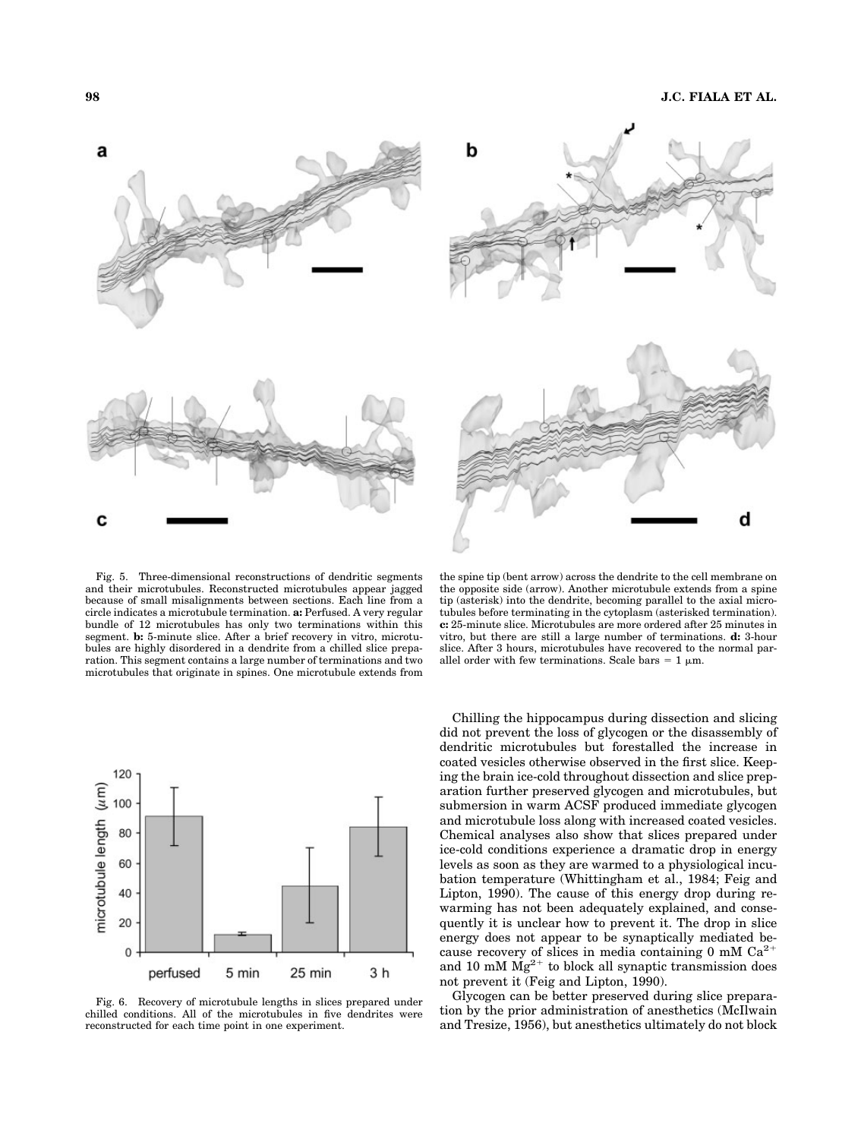



Fig. 5. Three-dimensional reconstructions of dendritic segments and their microtubules. Reconstructed microtubules appear jagged because of small misalignments between sections. Each line from a circle indicates a microtubule termination. **a:** Perfused. A very regular bundle of 12 microtubules has only two terminations within this segment. **b:** 5-minute slice. After a brief recovery in vitro, microtubules are highly disordered in a dendrite from a chilled slice preparation. This segment contains a large number of terminations and two microtubules that originate in spines. One microtubule extends from



Fig. 6. Recovery of microtubule lengths in slices prepared under chilled conditions. All of the microtubules in five dendrites were reconstructed for each time point in one experiment.

the spine tip (bent arrow) across the dendrite to the cell membrane on the opposite side (arrow). Another microtubule extends from a spine tip (asterisk) into the dendrite, becoming parallel to the axial microtubules before terminating in the cytoplasm (asterisked termination). **c:** 25-minute slice. Microtubules are more ordered after 25 minutes in vitro, but there are still a large number of terminations. **d:** 3-hour slice. After 3 hours, microtubules have recovered to the normal parallel order with few terminations. Scale bars  $= 1 \mu m$ .

Chilling the hippocampus during dissection and slicing did not prevent the loss of glycogen or the disassembly of dendritic microtubules but forestalled the increase in coated vesicles otherwise observed in the first slice. Keeping the brain ice-cold throughout dissection and slice preparation further preserved glycogen and microtubules, but submersion in warm ACSF produced immediate glycogen and microtubule loss along with increased coated vesicles. Chemical analyses also show that slices prepared under ice-cold conditions experience a dramatic drop in energy levels as soon as they are warmed to a physiological incubation temperature (Whittingham et al., 1984; Feig and Lipton, 1990). The cause of this energy drop during rewarming has not been adequately explained, and consequently it is unclear how to prevent it. The drop in slice energy does not appear to be synaptically mediated because recovery of slices in media containing 0 mM  $Ca^{2+}$ and 10 mM  $Mg^{2+}$  to block all synaptic transmission does not prevent it (Feig and Lipton, 1990).

Glycogen can be better preserved during slice preparation by the prior administration of anesthetics (McIlwain and Tresize, 1956), but anesthetics ultimately do not block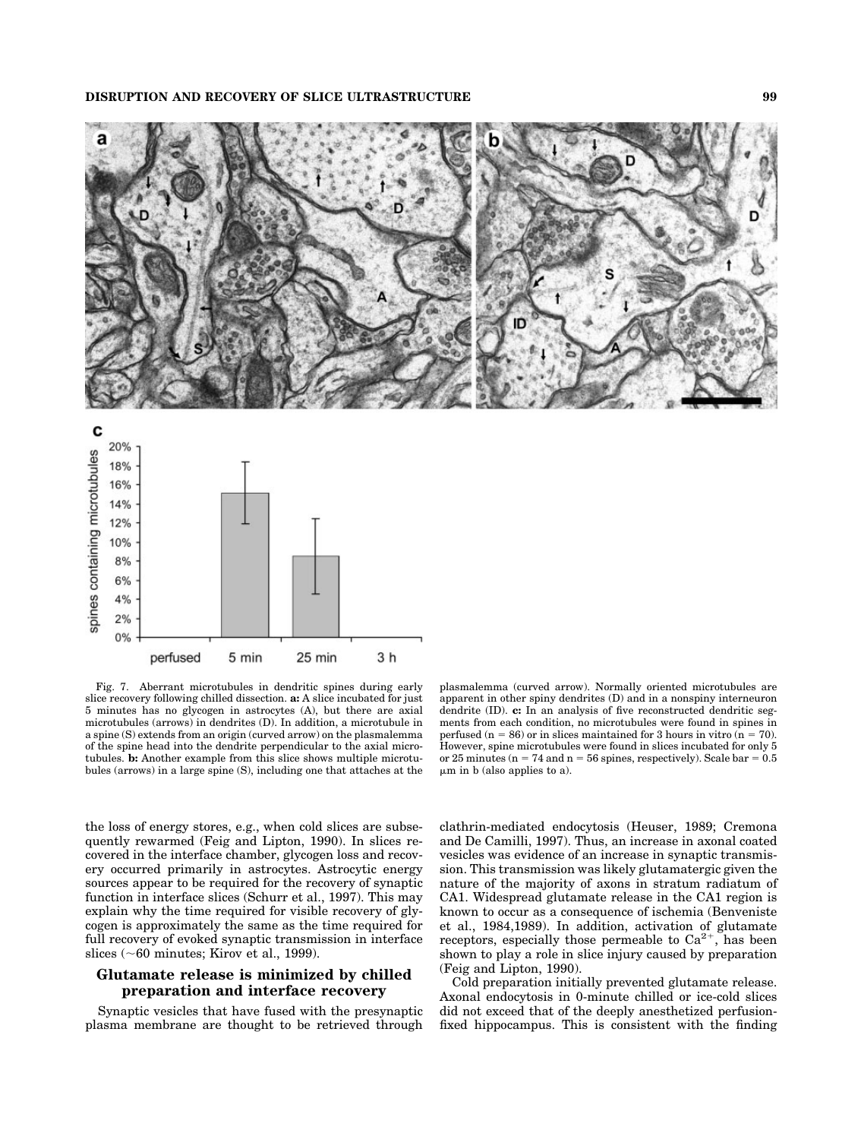



Fig. 7. Aberrant microtubules in dendritic spines during early slice recovery following chilled dissection. **a:** A slice incubated for just 5 minutes has no glycogen in astrocytes (A), but there are axial microtubules (arrows) in dendrites (D). In addition, a microtubule in a spine (S) extends from an origin (curved arrow) on the plasmalemma of the spine head into the dendrite perpendicular to the axial microtubules. **b:** Another example from this slice shows multiple microtubules (arrows) in a large spine (S), including one that attaches at the

plasmalemma (curved arrow). Normally oriented microtubules are apparent in other spiny dendrites (D) and in a nonspiny interneuron dendrite (ID). **c:** In an analysis of five reconstructed dendritic segments from each condition, no microtubules were found in spines in perfused (n = 86) or in slices maintained for 3 hours in vitro (n = 70). However, spine microtubules were found in slices incubated for only 5 or 25 minutes ( $n = 74$  and  $n = 56$  spines, respectively). Scale bar = 0.5  $\mu$ m in b (also applies to a).

the loss of energy stores, e.g., when cold slices are subsequently rewarmed (Feig and Lipton, 1990). In slices recovered in the interface chamber, glycogen loss and recovery occurred primarily in astrocytes. Astrocytic energy sources appear to be required for the recovery of synaptic function in interface slices (Schurr et al., 1997). This may explain why the time required for visible recovery of glycogen is approximately the same as the time required for full recovery of evoked synaptic transmission in interface slices ( $\sim$ 60 minutes; Kirov et al., 1999).

# **Glutamate release is minimized by chilled preparation and interface recovery**

Synaptic vesicles that have fused with the presynaptic plasma membrane are thought to be retrieved through clathrin-mediated endocytosis (Heuser, 1989; Cremona and De Camilli, 1997). Thus, an increase in axonal coated vesicles was evidence of an increase in synaptic transmission. This transmission was likely glutamatergic given the nature of the majority of axons in stratum radiatum of CA1. Widespread glutamate release in the CA1 region is known to occur as a consequence of ischemia (Benveniste et al., 1984,1989). In addition, activation of glutamate receptors, especially those permeable to  $Ca^{2+}$ , has been shown to play a role in slice injury caused by preparation (Feig and Lipton, 1990).

Cold preparation initially prevented glutamate release. Axonal endocytosis in 0-minute chilled or ice-cold slices did not exceed that of the deeply anesthetized perfusionfixed hippocampus. This is consistent with the finding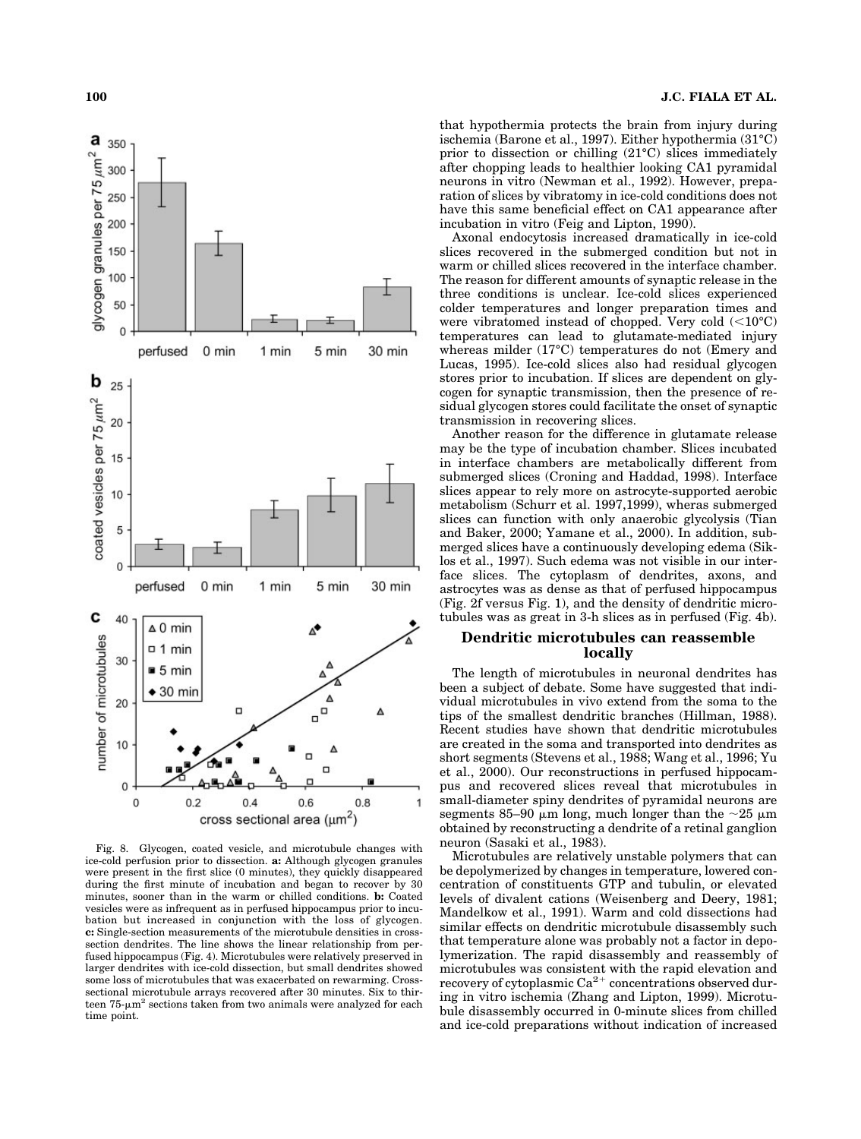

Fig. 8. Glycogen, coated vesicle, and microtubule changes with ice-cold perfusion prior to dissection. **a:** Although glycogen granules were present in the first slice (0 minutes), they quickly disappeared during the first minute of incubation and began to recover by 30 minutes, sooner than in the warm or chilled conditions. **b:** Coated vesicles were as infrequent as in perfused hippocampus prior to incubation but increased in conjunction with the loss of glycogen. **c:** Single-section measurements of the microtubule densities in crosssection dendrites. The line shows the linear relationship from perfused hippocampus (Fig. 4). Microtubules were relatively preserved in larger dendrites with ice-cold dissection, but small dendrites showed some loss of microtubules that was exacerbated on rewarming. Crosssectional microtubule arrays recovered after 30 minutes. Six to thirteen  $75$ - $\mu$ m<sup>2</sup> sections taken from two animals were analyzed for each time point.

that hypothermia protects the brain from injury during ischemia (Barone et al., 1997). Either hypothermia (31°C) prior to dissection or chilling (21°C) slices immediately after chopping leads to healthier looking CA1 pyramidal neurons in vitro (Newman et al., 1992). However, preparation of slices by vibratomy in ice-cold conditions does not have this same beneficial effect on CA1 appearance after incubation in vitro (Feig and Lipton, 1990).

Axonal endocytosis increased dramatically in ice-cold slices recovered in the submerged condition but not in warm or chilled slices recovered in the interface chamber. The reason for different amounts of synaptic release in the three conditions is unclear. Ice-cold slices experienced colder temperatures and longer preparation times and were vibratomed instead of chopped. Very cold  $(<10^{\circ}C)$ temperatures can lead to glutamate-mediated injury whereas milder (17°C) temperatures do not (Emery and Lucas, 1995). Ice-cold slices also had residual glycogen stores prior to incubation. If slices are dependent on glycogen for synaptic transmission, then the presence of residual glycogen stores could facilitate the onset of synaptic transmission in recovering slices.

Another reason for the difference in glutamate release may be the type of incubation chamber. Slices incubated in interface chambers are metabolically different from submerged slices (Croning and Haddad, 1998). Interface slices appear to rely more on astrocyte-supported aerobic metabolism (Schurr et al. 1997,1999), wheras submerged slices can function with only anaerobic glycolysis (Tian and Baker, 2000; Yamane et al., 2000). In addition, submerged slices have a continuously developing edema (Siklos et al., 1997). Such edema was not visible in our interface slices. The cytoplasm of dendrites, axons, and astrocytes was as dense as that of perfused hippocampus (Fig. 2f versus Fig. 1), and the density of dendritic microtubules was as great in 3-h slices as in perfused (Fig. 4b).

# **Dendritic microtubules can reassemble locally**

The length of microtubules in neuronal dendrites has been a subject of debate. Some have suggested that individual microtubules in vivo extend from the soma to the tips of the smallest dendritic branches (Hillman, 1988). Recent studies have shown that dendritic microtubules are created in the soma and transported into dendrites as short segments (Stevens et al., 1988; Wang et al., 1996; Yu et al., 2000). Our reconstructions in perfused hippocampus and recovered slices reveal that microtubules in small-diameter spiny dendrites of pyramidal neurons are segments 85–90  $\mu$ m long, much longer than the ~25  $\mu$ m obtained by reconstructing a dendrite of a retinal ganglion neuron (Sasaki et al., 1983).

Microtubules are relatively unstable polymers that can be depolymerized by changes in temperature, lowered concentration of constituents GTP and tubulin, or elevated levels of divalent cations (Weisenberg and Deery, 1981; Mandelkow et al., 1991). Warm and cold dissections had similar effects on dendritic microtubule disassembly such that temperature alone was probably not a factor in depolymerization. The rapid disassembly and reassembly of microtubules was consistent with the rapid elevation and recovery of cytoplasmic  $Ca^{2+}$  concentrations observed during in vitro ischemia (Zhang and Lipton, 1999). Microtubule disassembly occurred in 0-minute slices from chilled and ice-cold preparations without indication of increased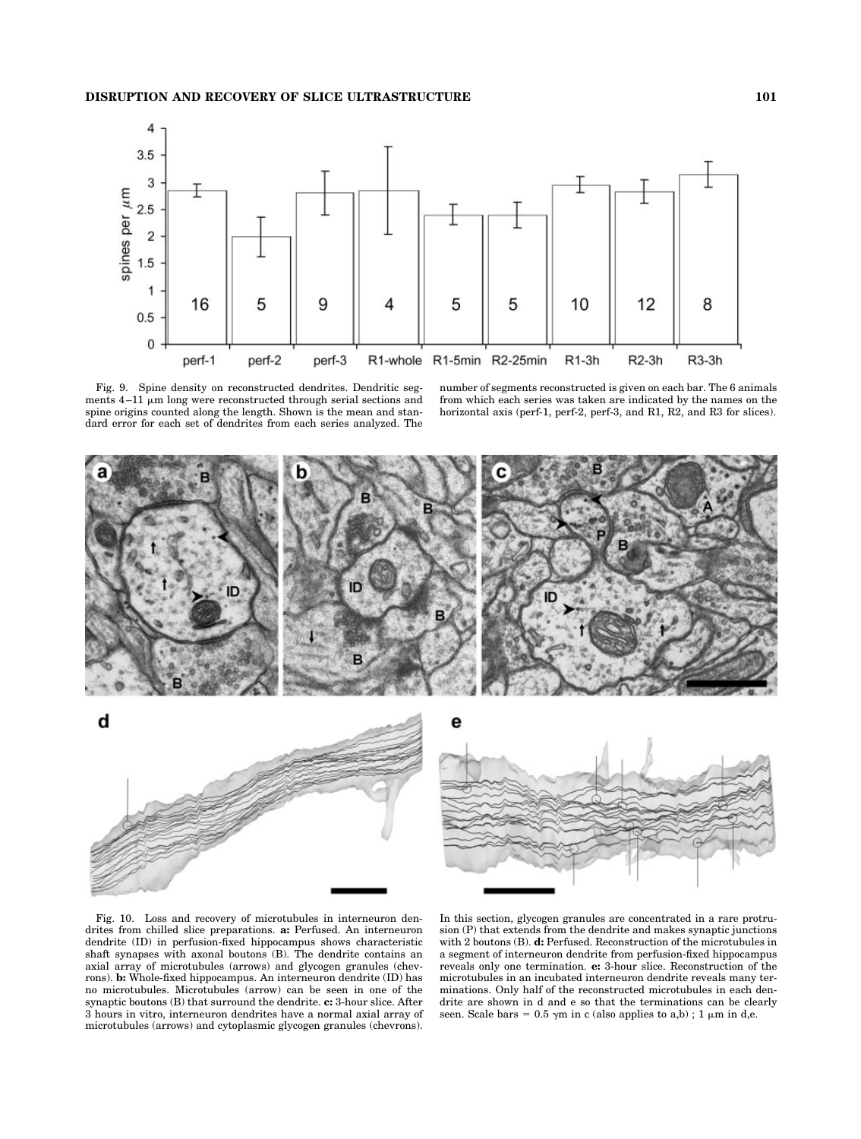

Fig. 9. Spine density on reconstructed dendrites. Dendritic segments  $4-11$   $\mu$ m long were reconstructed through serial sections and spine origins counted along the length. Shown is the mean and standard error for each set of dendrites from each series analyzed. The number of segments reconstructed is given on each bar. The 6 animals from which each series was taken are indicated by the names on the horizontal axis (perf-1, perf-2, perf-3, and R1, R2, and R3 for slices).



Fig. 10. Loss and recovery of microtubules in interneuron dendrites from chilled slice preparations. **a:** Perfused. An interneuron dendrite (ID) in perfusion-fixed hippocampus shows characteristic shaft synapses with axonal boutons (B). The dendrite contains an axial array of microtubules (arrows) and glycogen granules (chevrons). **b:** Whole-fixed hippocampus. An interneuron dendrite (ID) has no microtubules. Microtubules (arrow) can be seen in one of the synaptic boutons (B) that surround the dendrite. **c:** 3-hour slice. After 3 hours in vitro, interneuron dendrites have a normal axial array of microtubules (arrows) and cytoplasmic glycogen granules (chevrons).

In this section, glycogen granules are concentrated in a rare protrusion (P) that extends from the dendrite and makes synaptic junctions with 2 boutons (B). **d:** Perfused. Reconstruction of the microtubules in a segment of interneuron dendrite from perfusion-fixed hippocampus reveals only one termination. **e:** 3-hour slice. Reconstruction of the microtubules in an incubated interneuron dendrite reveals many terminations. Only half of the reconstructed microtubules in each dendrite are shown in d and e so that the terminations can be clearly seen. Scale bars =  $0.5 \gamma m$  in c (also applies to a,b); 1  $\mu m$  in d,e.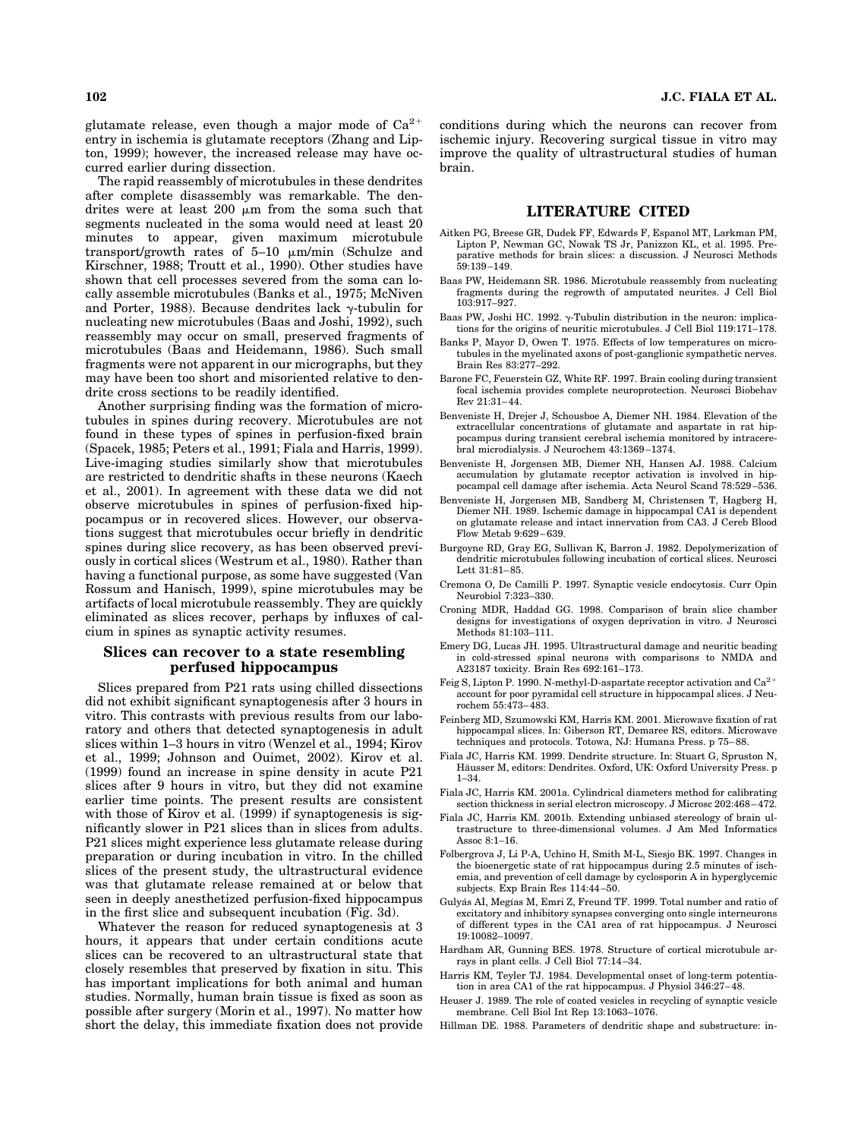glutamate release, even though a major mode of  $Ca^{2+}$ entry in ischemia is glutamate receptors (Zhang and Lipton, 1999); however, the increased release may have occurred earlier during dissection.

The rapid reassembly of microtubules in these dendrites after complete disassembly was remarkable. The dendrites were at least 200  $\mu$ m from the soma such that segments nucleated in the soma would need at least 20 minutes to appear, given maximum microtubule transport/growth rates of  $5-10 \mu m/min$  (Schulze and Kirschner, 1988; Troutt et al., 1990). Other studies have shown that cell processes severed from the soma can locally assemble microtubules (Banks et al., 1975; McNiven and Porter, 1988). Because dendrites lack  $\gamma$ -tubulin for nucleating new microtubules (Baas and Joshi, 1992), such reassembly may occur on small, preserved fragments of microtubules (Baas and Heidemann, 1986). Such small fragments were not apparent in our micrographs, but they may have been too short and misoriented relative to dendrite cross sections to be readily identified.

Another surprising finding was the formation of microtubules in spines during recovery. Microtubules are not found in these types of spines in perfusion-fixed brain (Spacek, 1985; Peters et al., 1991; Fiala and Harris, 1999). Live-imaging studies similarly show that microtubules are restricted to dendritic shafts in these neurons (Kaech et al., 2001). In agreement with these data we did not observe microtubules in spines of perfusion-fixed hippocampus or in recovered slices. However, our observations suggest that microtubules occur briefly in dendritic spines during slice recovery, as has been observed previously in cortical slices (Westrum et al., 1980). Rather than having a functional purpose, as some have suggested (Van Rossum and Hanisch, 1999), spine microtubules may be artifacts of local microtubule reassembly. They are quickly eliminated as slices recover, perhaps by influxes of calcium in spines as synaptic activity resumes.

# **Slices can recover to a state resembling perfused hippocampus**

Slices prepared from P21 rats using chilled dissections did not exhibit significant synaptogenesis after 3 hours in vitro. This contrasts with previous results from our laboratory and others that detected synaptogenesis in adult slices within 1–3 hours in vitro (Wenzel et al., 1994; Kirov et al., 1999; Johnson and Ouimet, 2002). Kirov et al. (1999) found an increase in spine density in acute P21 slices after 9 hours in vitro, but they did not examine earlier time points. The present results are consistent with those of Kirov et al. (1999) if synaptogenesis is significantly slower in P21 slices than in slices from adults. P21 slices might experience less glutamate release during preparation or during incubation in vitro. In the chilled slices of the present study, the ultrastructural evidence was that glutamate release remained at or below that seen in deeply anesthetized perfusion-fixed hippocampus in the first slice and subsequent incubation (Fig. 3d).

Whatever the reason for reduced synaptogenesis at 3 hours, it appears that under certain conditions acute slices can be recovered to an ultrastructural state that closely resembles that preserved by fixation in situ. This has important implications for both animal and human studies. Normally, human brain tissue is fixed as soon as possible after surgery (Morin et al., 1997). No matter how short the delay, this immediate fixation does not provide conditions during which the neurons can recover from ischemic injury. Recovering surgical tissue in vitro may improve the quality of ultrastructural studies of human brain.

#### **LITERATURE CITED**

- Aitken PG, Breese GR, Dudek FF, Edwards F, Espanol MT, Larkman PM, Lipton P, Newman GC, Nowak TS Jr, Panizzon KL, et al. 1995. Preparative methods for brain slices: a discussion. J Neurosci Methods  $59.139 - 149$
- Baas PW, Heidemann SR. 1986. Microtubule reassembly from nucleating fragments during the regrowth of amputated neurites. J Cell Biol 103:917–927.
- Baas PW, Joshi HC. 1992.  $\gamma$ -Tubulin distribution in the neuron: implications for the origins of neuritic microtubules. J Cell Biol 119:171–178.
- Banks P, Mayor D, Owen T. 1975. Effects of low temperatures on microtubules in the myelinated axons of post-ganglionic sympathetic nerves. Brain Res 83:277–292.
- Barone FC, Feuerstein GZ, White RF. 1997. Brain cooling during transient focal ischemia provides complete neuroprotection. Neurosci Biobehav Rev 21:31–44.
- Benveniste H, Drejer J, Schousboe A, Diemer NH. 1984. Elevation of the extracellular concentrations of glutamate and aspartate in rat hippocampus during transient cerebral ischemia monitored by intracerebral microdialysis. J Neurochem 43:1369–1374.
- Benveniste H, Jorgensen MB, Diemer NH, Hansen AJ. 1988. Calcium accumulation by glutamate receptor activation is involved in hippocampal cell damage after ischemia. Acta Neurol Scand 78:529–536.
- Benveniste H, Jorgensen MB, Sandberg M, Christensen T, Hagberg H, Diemer NH. 1989. Ischemic damage in hippocampal CA1 is dependent on glutamate release and intact innervation from CA3. J Cereb Blood Flow Metab 9:629–639.
- Burgoyne RD, Gray EG, Sullivan K, Barron J. 1982. Depolymerization of dendritic microtubules following incubation of cortical slices. Neurosci Lett 31:81–85.
- Cremona O, De Camilli P. 1997. Synaptic vesicle endocytosis. Curr Opin Neurobiol 7:323–330.
- Croning MDR, Haddad GG. 1998. Comparison of brain slice chamber designs for investigations of oxygen deprivation in vitro. J Neurosci Methods 81:103–111.
- Emery DG, Lucas JH. 1995. Ultrastructural damage and neuritic beading in cold-stressed spinal neurons with comparisons to NMDA and A23187 toxicity. Brain Res 692:161–173.
- Feig S, Lipton P. 1990. N-methyl-D-aspartate receptor activation and Ca<sup>2+</sup> account for poor pyramidal cell structure in hippocampal slices. J Neurochem 55:473–483.
- Feinberg MD, Szumowski KM, Harris KM. 2001. Microwave fixation of rat hippocampal slices. In: Giberson RT, Demaree RS, editors. Microwave techniques and protocols. Totowa, NJ: Humana Press. p 75–88.
- Fiala JC, Harris KM. 1999. Dendrite structure. In: Stuart G, Spruston N, Häusser M, editors: Dendrites. Oxford, UK: Oxford University Press. p 1–34.
- Fiala JC, Harris KM. 2001a. Cylindrical diameters method for calibrating section thickness in serial electron microscopy. J Microsc 202:468–472.
- Fiala JC, Harris KM. 2001b. Extending unbiased stereology of brain ultrastructure to three-dimensional volumes. J Am Med Informatics Assoc 8:1–16.
- Folbergrova J, Li P-A, Uchino H, Smith M-L, Siesjo BK. 1997. Changes in the bioenergetic state of rat hippocampus during 2.5 minutes of ischemia, and prevention of cell damage by cyclosporin A in hyperglycemic subjects. Exp Brain Res 114:44–50.
- Gulyás AI, Megías M, Emri Z, Freund TF. 1999. Total number and ratio of excitatory and inhibitory synapses converging onto single interneurons of different types in the CA1 area of rat hippocampus. J Neurosci 19:10082–10097.
- Hardham AR, Gunning BES. 1978. Structure of cortical microtubule arrays in plant cells. J Cell Biol 77:14–34.
- Harris KM, Teyler TJ. 1984. Developmental onset of long-term potentiation in area CA1 of the rat hippocampus. J Physiol 346:27–48.
- Heuser J. 1989. The role of coated vesicles in recycling of synaptic vesicle membrane. Cell Biol Int Rep 13:1063–1076.
- Hillman DE. 1988. Parameters of dendritic shape and substructure: in-